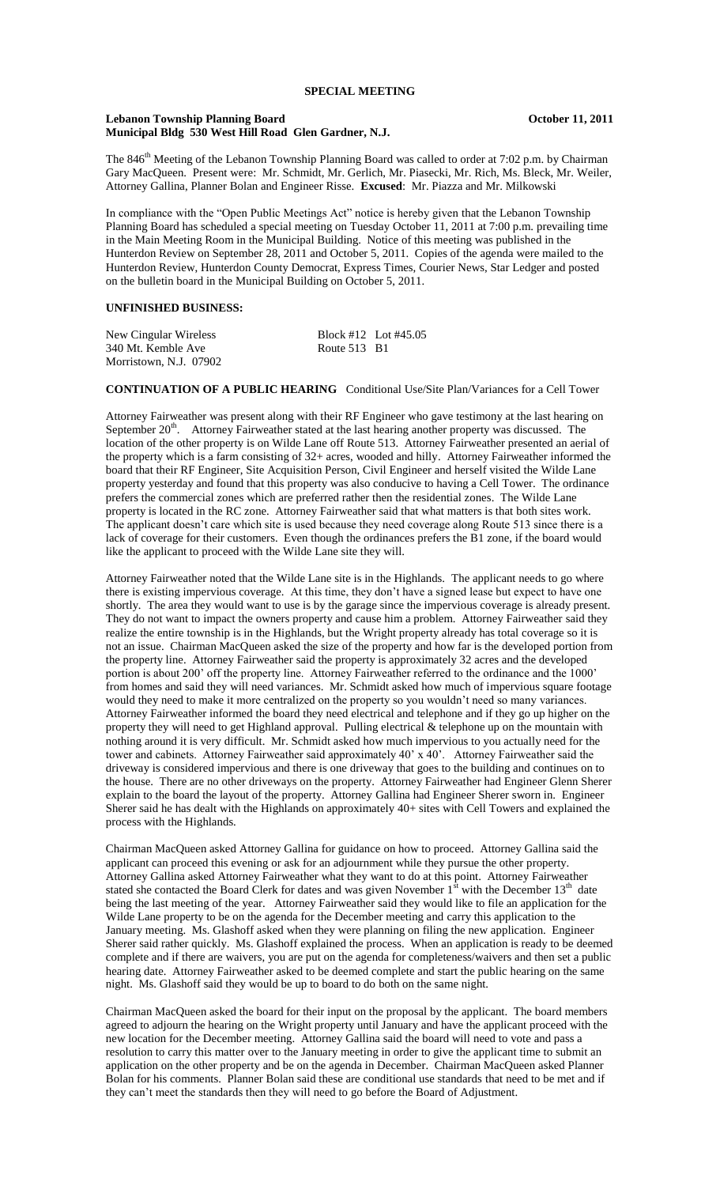#### Lebanon Township Planning Board **Contact Contact Contact Contact Contact Contact Contact Contact Contact Contact Contact Contact Contact Contact Contact Contact Contact Contact Contact Contact Contact Contact Contact Conta Municipal Bldg 530 West Hill Road Glen Gardner, N.J.**

The 846<sup>th</sup> Meeting of the Lebanon Township Planning Board was called to order at 7:02 p.m. by Chairman Gary MacQueen. Present were: Mr. Schmidt, Mr. Gerlich, Mr. Piasecki, Mr. Rich, Ms. Bleck, Mr. Weiler, Attorney Gallina, Planner Bolan and Engineer Risse. **Excused**: Mr. Piazza and Mr. Milkowski

In compliance with the "Open Public Meetings Act" notice is hereby given that the Lebanon Township Planning Board has scheduled a special meeting on Tuesday October 11, 2011 at 7:00 p.m. prevailing time in the Main Meeting Room in the Municipal Building. Notice of this meeting was published in the Hunterdon Review on September 28, 2011 and October 5, 2011. Copies of the agenda were mailed to the Hunterdon Review, Hunterdon County Democrat, Express Times, Courier News, Star Ledger and posted on the bulletin board in the Municipal Building on October 5, 2011.

## **UNFINISHED BUSINESS:**

| New Cingular Wireless  |                     | Block #12 Lot #45.05 |
|------------------------|---------------------|----------------------|
| 340 Mt. Kemble Ave     | <b>Route 513 B1</b> |                      |
| Morristown, N.J. 07902 |                     |                      |

# **CONTINUATION OF A PUBLIC HEARING** Conditional Use/Site Plan/Variances for a Cell Tower

Attorney Fairweather was present along with their RF Engineer who gave testimony at the last hearing on September 20<sup>th</sup>. Attorney Fairweather stated at the last hearing another property was discussed. The location of the other property is on Wilde Lane off Route 513. Attorney Fairweather presented an aerial of the property which is a farm consisting of 32+ acres, wooded and hilly. Attorney Fairweather informed the board that their RF Engineer, Site Acquisition Person, Civil Engineer and herself visited the Wilde Lane property yesterday and found that this property was also conducive to having a Cell Tower. The ordinance prefers the commercial zones which are preferred rather then the residential zones. The Wilde Lane property is located in the RC zone. Attorney Fairweather said that what matters is that both sites work. The applicant doesn't care which site is used because they need coverage along Route 513 since there is a lack of coverage for their customers. Even though the ordinances prefers the B1 zone, if the board would like the applicant to proceed with the Wilde Lane site they will.

Attorney Fairweather noted that the Wilde Lane site is in the Highlands. The applicant needs to go where there is existing impervious coverage. At this time, they don't have a signed lease but expect to have one shortly. The area they would want to use is by the garage since the impervious coverage is already present. They do not want to impact the owners property and cause him a problem. Attorney Fairweather said they realize the entire township is in the Highlands, but the Wright property already has total coverage so it is not an issue. Chairman MacQueen asked the size of the property and how far is the developed portion from the property line. Attorney Fairweather said the property is approximately 32 acres and the developed portion is about 200' off the property line. Attorney Fairweather referred to the ordinance and the 1000' from homes and said they will need variances. Mr. Schmidt asked how much of impervious square footage would they need to make it more centralized on the property so you wouldn't need so many variances. Attorney Fairweather informed the board they need electrical and telephone and if they go up higher on the property they will need to get Highland approval. Pulling electrical & telephone up on the mountain with nothing around it is very difficult. Mr. Schmidt asked how much impervious to you actually need for the tower and cabinets. Attorney Fairweather said approximately 40' x 40'. Attorney Fairweather said the driveway is considered impervious and there is one driveway that goes to the building and continues on to the house. There are no other driveways on the property. Attorney Fairweather had Engineer Glenn Sherer explain to the board the layout of the property. Attorney Gallina had Engineer Sherer sworn in. Engineer Sherer said he has dealt with the Highlands on approximately 40+ sites with Cell Towers and explained the process with the Highlands.

Chairman MacQueen asked Attorney Gallina for guidance on how to proceed. Attorney Gallina said the applicant can proceed this evening or ask for an adjournment while they pursue the other property. Attorney Gallina asked Attorney Fairweather what they want to do at this point. Attorney Fairweather stated she contacted the Board Clerk for dates and was given November  $1<sup>st</sup>$  with the December  $13<sup>th</sup>$  date being the last meeting of the year. Attorney Fairweather said they would like to file an application for the Wilde Lane property to be on the agenda for the December meeting and carry this application to the January meeting. Ms. Glashoff asked when they were planning on filing the new application. Engineer Sherer said rather quickly. Ms. Glashoff explained the process. When an application is ready to be deemed complete and if there are waivers, you are put on the agenda for completeness/waivers and then set a public hearing date. Attorney Fairweather asked to be deemed complete and start the public hearing on the same night. Ms. Glashoff said they would be up to board to do both on the same night.

Chairman MacQueen asked the board for their input on the proposal by the applicant. The board members agreed to adjourn the hearing on the Wright property until January and have the applicant proceed with the new location for the December meeting. Attorney Gallina said the board will need to vote and pass a resolution to carry this matter over to the January meeting in order to give the applicant time to submit an application on the other property and be on the agenda in December. Chairman MacQueen asked Planner Bolan for his comments. Planner Bolan said these are conditional use standards that need to be met and if they can't meet the standards then they will need to go before the Board of Adjustment.